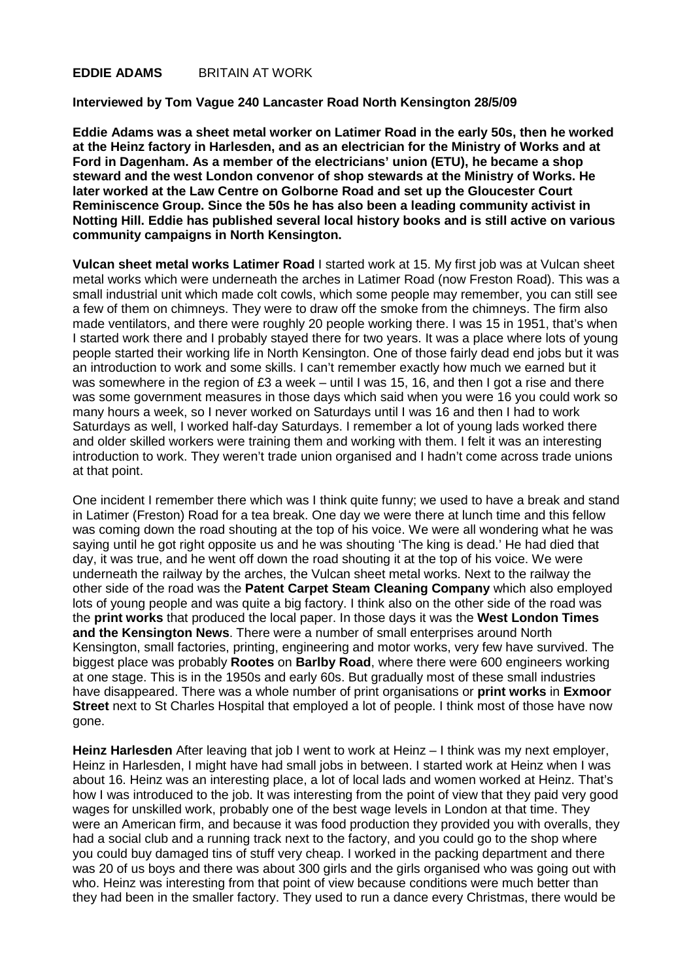## **EDDIE ADAMS** BRITAIN AT WORK

## **Interviewed by Tom Vague 240 Lancaster Road North Kensington 28/5/09**

**Eddie Adams was a sheet metal worker on Latimer Road in the early 50s, then he worked at the Heinz factory in Harlesden, and as an electrician for the Ministry of Works and at Ford in Dagenham. As a member of the electricians' union (ETU), he became a shop steward and the west London convenor of shop stewards at the Ministry of Works. He later worked at the Law Centre on Golborne Road and set up the Gloucester Court Reminiscence Group. Since the 50s he has also been a leading community activist in Notting Hill. Eddie has published several local history books and is still active on various community campaigns in North Kensington.** 

**Vulcan sheet metal works Latimer Road** I started work at 15. My first job was at Vulcan sheet metal works which were underneath the arches in Latimer Road (now Freston Road). This was a small industrial unit which made colt cowls, which some people may remember, you can still see a few of them on chimneys. They were to draw off the smoke from the chimneys. The firm also made ventilators, and there were roughly 20 people working there. I was 15 in 1951, that's when I started work there and I probably stayed there for two years. It was a place where lots of young people started their working life in North Kensington. One of those fairly dead end jobs but it was an introduction to work and some skills. I can't remember exactly how much we earned but it was somewhere in the region of £3 a week – until I was 15, 16, and then I got a rise and there was some government measures in those days which said when you were 16 you could work so many hours a week, so I never worked on Saturdays until I was 16 and then I had to work Saturdays as well, I worked half-day Saturdays. I remember a lot of young lads worked there and older skilled workers were training them and working with them. I felt it was an interesting introduction to work. They weren't trade union organised and I hadn't come across trade unions at that point.

One incident I remember there which was I think quite funny; we used to have a break and stand in Latimer (Freston) Road for a tea break. One day we were there at lunch time and this fellow was coming down the road shouting at the top of his voice. We were all wondering what he was saying until he got right opposite us and he was shouting 'The king is dead.' He had died that day, it was true, and he went off down the road shouting it at the top of his voice. We were underneath the railway by the arches, the Vulcan sheet metal works. Next to the railway the other side of the road was the **Patent Carpet Steam Cleaning Company** which also employed lots of young people and was quite a big factory. I think also on the other side of the road was the **print works** that produced the local paper. In those days it was the **West London Times and the Kensington News**. There were a number of small enterprises around North Kensington, small factories, printing, engineering and motor works, very few have survived. The biggest place was probably **Rootes** on **Barlby Road**, where there were 600 engineers working at one stage. This is in the 1950s and early 60s. But gradually most of these small industries have disappeared. There was a whole number of print organisations or **print works** in **Exmoor Street** next to St Charles Hospital that employed a lot of people. I think most of those have now gone.

**Heinz Harlesden** After leaving that job I went to work at Heinz – I think was my next employer, Heinz in Harlesden, I might have had small jobs in between. I started work at Heinz when I was about 16. Heinz was an interesting place, a lot of local lads and women worked at Heinz. That's how I was introduced to the job. It was interesting from the point of view that they paid very good wages for unskilled work, probably one of the best wage levels in London at that time. They were an American firm, and because it was food production they provided you with overalls, they had a social club and a running track next to the factory, and you could go to the shop where you could buy damaged tins of stuff very cheap. I worked in the packing department and there was 20 of us boys and there was about 300 girls and the girls organised who was going out with who. Heinz was interesting from that point of view because conditions were much better than they had been in the smaller factory. They used to run a dance every Christmas, there would be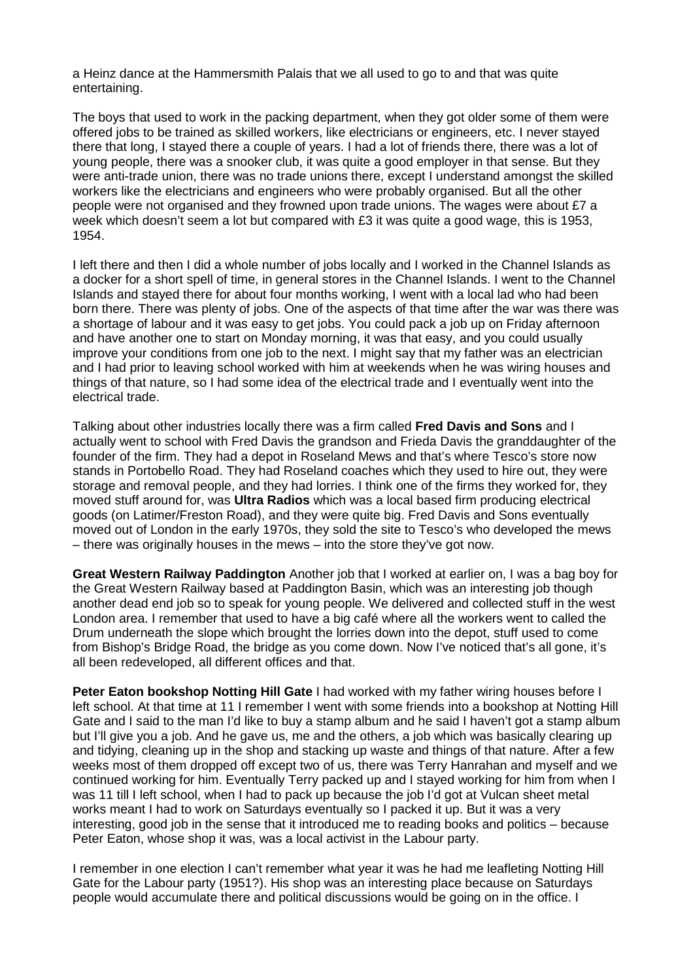a Heinz dance at the Hammersmith Palais that we all used to go to and that was quite entertaining.

The boys that used to work in the packing department, when they got older some of them were offered jobs to be trained as skilled workers, like electricians or engineers, etc. I never stayed there that long, I stayed there a couple of years. I had a lot of friends there, there was a lot of young people, there was a snooker club, it was quite a good employer in that sense. But they were anti-trade union, there was no trade unions there, except I understand amongst the skilled workers like the electricians and engineers who were probably organised. But all the other people were not organised and they frowned upon trade unions. The wages were about £7 a week which doesn't seem a lot but compared with £3 it was quite a good wage, this is 1953, 1954.

I left there and then I did a whole number of jobs locally and I worked in the Channel Islands as a docker for a short spell of time, in general stores in the Channel Islands. I went to the Channel Islands and stayed there for about four months working, I went with a local lad who had been born there. There was plenty of jobs. One of the aspects of that time after the war was there was a shortage of labour and it was easy to get jobs. You could pack a job up on Friday afternoon and have another one to start on Monday morning, it was that easy, and you could usually improve your conditions from one job to the next. I might say that my father was an electrician and I had prior to leaving school worked with him at weekends when he was wiring houses and things of that nature, so I had some idea of the electrical trade and I eventually went into the electrical trade.

Talking about other industries locally there was a firm called **Fred Davis and Sons** and I actually went to school with Fred Davis the grandson and Frieda Davis the granddaughter of the founder of the firm. They had a depot in Roseland Mews and that's where Tesco's store now stands in Portobello Road. They had Roseland coaches which they used to hire out, they were storage and removal people, and they had lorries. I think one of the firms they worked for, they moved stuff around for, was **Ultra Radios** which was a local based firm producing electrical goods (on Latimer/Freston Road), and they were quite big. Fred Davis and Sons eventually moved out of London in the early 1970s, they sold the site to Tesco's who developed the mews – there was originally houses in the mews – into the store they've got now.

**Great Western Railway Paddington** Another job that I worked at earlier on, I was a bag boy for the Great Western Railway based at Paddington Basin, which was an interesting job though another dead end job so to speak for young people. We delivered and collected stuff in the west London area. I remember that used to have a big café where all the workers went to called the Drum underneath the slope which brought the lorries down into the depot, stuff used to come from Bishop's Bridge Road, the bridge as you come down. Now I've noticed that's all gone, it's all been redeveloped, all different offices and that.

**Peter Eaton bookshop Notting Hill Gate** I had worked with my father wiring houses before I left school. At that time at 11 I remember I went with some friends into a bookshop at Notting Hill Gate and I said to the man I'd like to buy a stamp album and he said I haven't got a stamp album but I'll give you a job. And he gave us, me and the others, a job which was basically clearing up and tidying, cleaning up in the shop and stacking up waste and things of that nature. After a few weeks most of them dropped off except two of us, there was Terry Hanrahan and myself and we continued working for him. Eventually Terry packed up and I stayed working for him from when I was 11 till I left school, when I had to pack up because the job I'd got at Vulcan sheet metal works meant I had to work on Saturdays eventually so I packed it up. But it was a very interesting, good job in the sense that it introduced me to reading books and politics – because Peter Eaton, whose shop it was, was a local activist in the Labour party.

I remember in one election I can't remember what year it was he had me leafleting Notting Hill Gate for the Labour party (1951?). His shop was an interesting place because on Saturdays people would accumulate there and political discussions would be going on in the office. I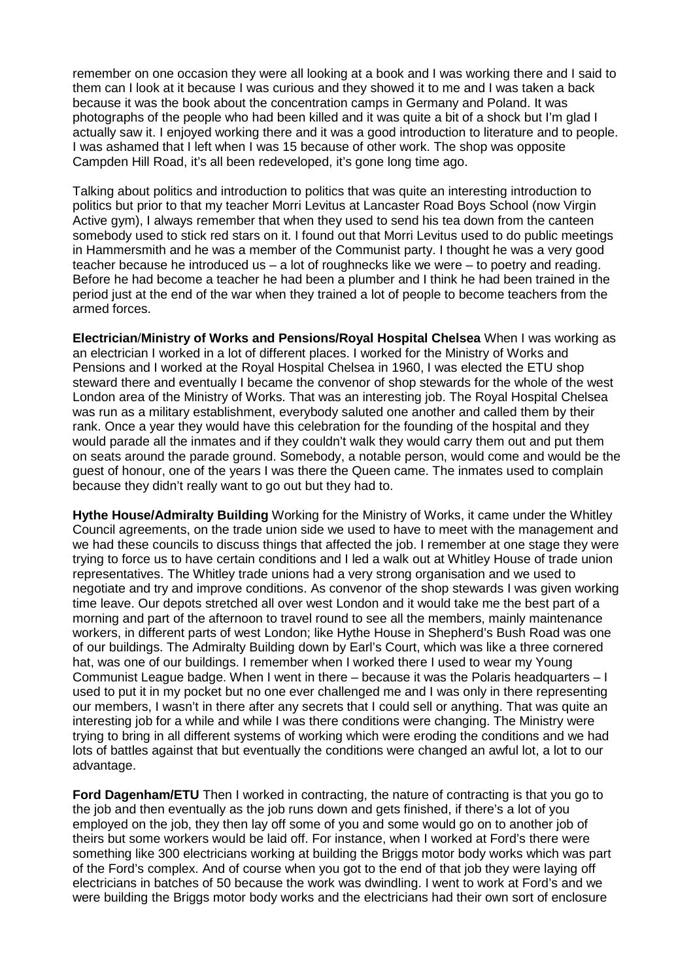remember on one occasion they were all looking at a book and I was working there and I said to them can I look at it because I was curious and they showed it to me and I was taken a back because it was the book about the concentration camps in Germany and Poland. It was photographs of the people who had been killed and it was quite a bit of a shock but I'm glad I actually saw it. I enjoyed working there and it was a good introduction to literature and to people. I was ashamed that I left when I was 15 because of other work. The shop was opposite Campden Hill Road, it's all been redeveloped, it's gone long time ago.

Talking about politics and introduction to politics that was quite an interesting introduction to politics but prior to that my teacher Morri Levitus at Lancaster Road Boys School (now Virgin Active gym), I always remember that when they used to send his tea down from the canteen somebody used to stick red stars on it. I found out that Morri Levitus used to do public meetings in Hammersmith and he was a member of the Communist party. I thought he was a very good teacher because he introduced us – a lot of roughnecks like we were – to poetry and reading. Before he had become a teacher he had been a plumber and I think he had been trained in the period just at the end of the war when they trained a lot of people to become teachers from the armed forces.

**Electrician**/**Ministry of Works and Pensions/Royal Hospital Chelsea** When I was working as an electrician I worked in a lot of different places. I worked for the Ministry of Works and Pensions and I worked at the Royal Hospital Chelsea in 1960, I was elected the ETU shop steward there and eventually I became the convenor of shop stewards for the whole of the west London area of the Ministry of Works. That was an interesting job. The Royal Hospital Chelsea was run as a military establishment, everybody saluted one another and called them by their rank. Once a year they would have this celebration for the founding of the hospital and they would parade all the inmates and if they couldn't walk they would carry them out and put them on seats around the parade ground. Somebody, a notable person, would come and would be the guest of honour, one of the years I was there the Queen came. The inmates used to complain because they didn't really want to go out but they had to.

**Hythe House/Admiralty Building** Working for the Ministry of Works, it came under the Whitley Council agreements, on the trade union side we used to have to meet with the management and we had these councils to discuss things that affected the job. I remember at one stage they were trying to force us to have certain conditions and I led a walk out at Whitley House of trade union representatives. The Whitley trade unions had a very strong organisation and we used to negotiate and try and improve conditions. As convenor of the shop stewards I was given working time leave. Our depots stretched all over west London and it would take me the best part of a morning and part of the afternoon to travel round to see all the members, mainly maintenance workers, in different parts of west London; like Hythe House in Shepherd's Bush Road was one of our buildings. The Admiralty Building down by Earl's Court, which was like a three cornered hat, was one of our buildings. I remember when I worked there I used to wear my Young Communist League badge. When I went in there – because it was the Polaris headquarters – I used to put it in my pocket but no one ever challenged me and I was only in there representing our members, I wasn't in there after any secrets that I could sell or anything. That was quite an interesting job for a while and while I was there conditions were changing. The Ministry were trying to bring in all different systems of working which were eroding the conditions and we had lots of battles against that but eventually the conditions were changed an awful lot, a lot to our advantage.

**Ford Dagenham/ETU** Then I worked in contracting, the nature of contracting is that you go to the job and then eventually as the job runs down and gets finished, if there's a lot of you employed on the job, they then lay off some of you and some would go on to another job of theirs but some workers would be laid off. For instance, when I worked at Ford's there were something like 300 electricians working at building the Briggs motor body works which was part of the Ford's complex. And of course when you got to the end of that job they were laying off electricians in batches of 50 because the work was dwindling. I went to work at Ford's and we were building the Briggs motor body works and the electricians had their own sort of enclosure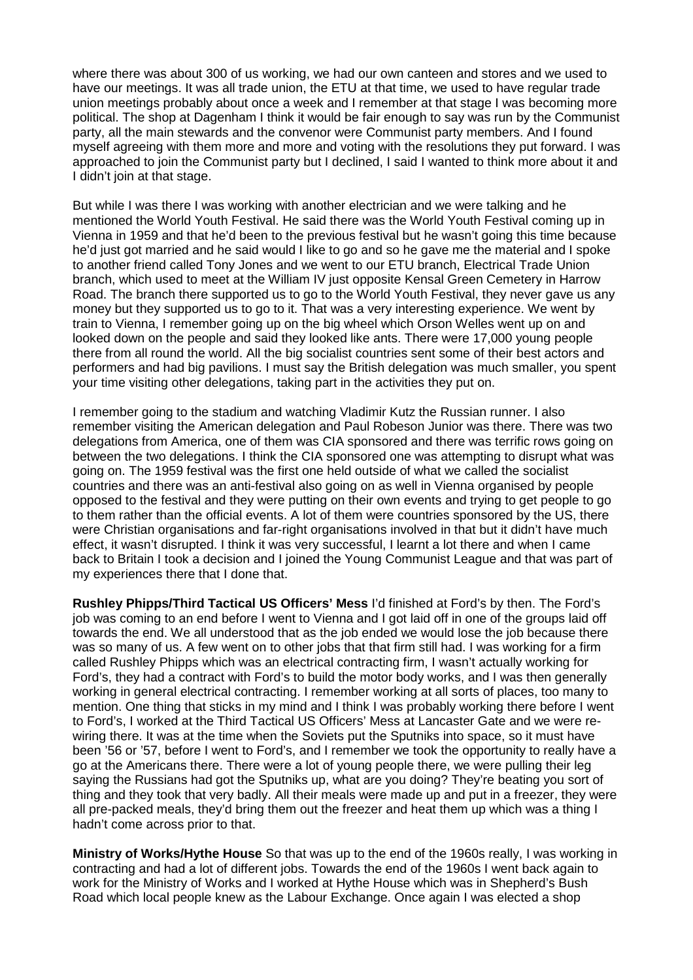where there was about 300 of us working, we had our own canteen and stores and we used to have our meetings. It was all trade union, the ETU at that time, we used to have regular trade union meetings probably about once a week and I remember at that stage I was becoming more political. The shop at Dagenham I think it would be fair enough to say was run by the Communist party, all the main stewards and the convenor were Communist party members. And I found myself agreeing with them more and more and voting with the resolutions they put forward. I was approached to join the Communist party but I declined, I said I wanted to think more about it and I didn't join at that stage.

But while I was there I was working with another electrician and we were talking and he mentioned the World Youth Festival. He said there was the World Youth Festival coming up in Vienna in 1959 and that he'd been to the previous festival but he wasn't going this time because he'd just got married and he said would I like to go and so he gave me the material and I spoke to another friend called Tony Jones and we went to our ETU branch, Electrical Trade Union branch, which used to meet at the William IV just opposite Kensal Green Cemetery in Harrow Road. The branch there supported us to go to the World Youth Festival, they never gave us any money but they supported us to go to it. That was a very interesting experience. We went by train to Vienna, I remember going up on the big wheel which Orson Welles went up on and looked down on the people and said they looked like ants. There were 17,000 young people there from all round the world. All the big socialist countries sent some of their best actors and performers and had big pavilions. I must say the British delegation was much smaller, you spent your time visiting other delegations, taking part in the activities they put on.

I remember going to the stadium and watching Vladimir Kutz the Russian runner. I also remember visiting the American delegation and Paul Robeson Junior was there. There was two delegations from America, one of them was CIA sponsored and there was terrific rows going on between the two delegations. I think the CIA sponsored one was attempting to disrupt what was going on. The 1959 festival was the first one held outside of what we called the socialist countries and there was an anti-festival also going on as well in Vienna organised by people opposed to the festival and they were putting on their own events and trying to get people to go to them rather than the official events. A lot of them were countries sponsored by the US, there were Christian organisations and far-right organisations involved in that but it didn't have much effect, it wasn't disrupted. I think it was very successful, I learnt a lot there and when I came back to Britain I took a decision and I joined the Young Communist League and that was part of my experiences there that I done that.

**Rushley Phipps/Third Tactical US Officers' Mess** I'd finished at Ford's by then. The Ford's job was coming to an end before I went to Vienna and I got laid off in one of the groups laid off towards the end. We all understood that as the job ended we would lose the job because there was so many of us. A few went on to other jobs that that firm still had. I was working for a firm called Rushley Phipps which was an electrical contracting firm, I wasn't actually working for Ford's, they had a contract with Ford's to build the motor body works, and I was then generally working in general electrical contracting. I remember working at all sorts of places, too many to mention. One thing that sticks in my mind and I think I was probably working there before I went to Ford's, I worked at the Third Tactical US Officers' Mess at Lancaster Gate and we were rewiring there. It was at the time when the Soviets put the Sputniks into space, so it must have been '56 or '57, before I went to Ford's, and I remember we took the opportunity to really have a go at the Americans there. There were a lot of young people there, we were pulling their leg saying the Russians had got the Sputniks up, what are you doing? They're beating you sort of thing and they took that very badly. All their meals were made up and put in a freezer, they were all pre-packed meals, they'd bring them out the freezer and heat them up which was a thing I hadn't come across prior to that.

**Ministry of Works/Hythe House** So that was up to the end of the 1960s really, I was working in contracting and had a lot of different jobs. Towards the end of the 1960s I went back again to work for the Ministry of Works and I worked at Hythe House which was in Shepherd's Bush Road which local people knew as the Labour Exchange. Once again I was elected a shop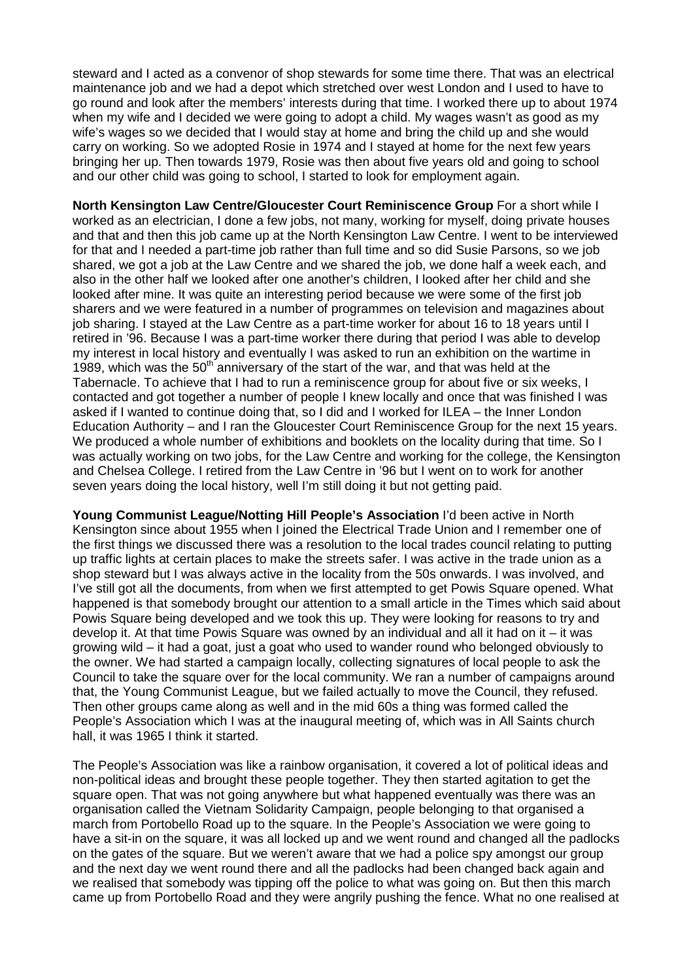steward and I acted as a convenor of shop stewards for some time there. That was an electrical maintenance job and we had a depot which stretched over west London and I used to have to go round and look after the members' interests during that time. I worked there up to about 1974 when my wife and I decided we were going to adopt a child. My wages wasn't as good as my wife's wages so we decided that I would stay at home and bring the child up and she would carry on working. So we adopted Rosie in 1974 and I stayed at home for the next few years bringing her up. Then towards 1979, Rosie was then about five years old and going to school and our other child was going to school, I started to look for employment again.

**North Kensington Law Centre/Gloucester Court Reminiscence Group** For a short while I worked as an electrician, I done a few jobs, not many, working for myself, doing private houses and that and then this job came up at the North Kensington Law Centre. I went to be interviewed for that and I needed a part-time job rather than full time and so did Susie Parsons, so we job shared, we got a job at the Law Centre and we shared the job, we done half a week each, and also in the other half we looked after one another's children, I looked after her child and she looked after mine. It was quite an interesting period because we were some of the first job sharers and we were featured in a number of programmes on television and magazines about job sharing. I stayed at the Law Centre as a part-time worker for about 16 to 18 years until I retired in '96. Because I was a part-time worker there during that period I was able to develop my interest in local history and eventually I was asked to run an exhibition on the wartime in 1989, which was the  $50<sup>th</sup>$  anniversary of the start of the war, and that was held at the Tabernacle. To achieve that I had to run a reminiscence group for about five or six weeks, I contacted and got together a number of people I knew locally and once that was finished I was asked if I wanted to continue doing that, so I did and I worked for ILEA – the Inner London Education Authority – and I ran the Gloucester Court Reminiscence Group for the next 15 years. We produced a whole number of exhibitions and booklets on the locality during that time. So I was actually working on two jobs, for the Law Centre and working for the college, the Kensington and Chelsea College. I retired from the Law Centre in '96 but I went on to work for another seven years doing the local history, well I'm still doing it but not getting paid.

**Young Communist League/Notting Hill People's Association** I'd been active in North Kensington since about 1955 when I joined the Electrical Trade Union and I remember one of the first things we discussed there was a resolution to the local trades council relating to putting up traffic lights at certain places to make the streets safer. I was active in the trade union as a shop steward but I was always active in the locality from the 50s onwards. I was involved, and I've still got all the documents, from when we first attempted to get Powis Square opened. What happened is that somebody brought our attention to a small article in the Times which said about Powis Square being developed and we took this up. They were looking for reasons to try and develop it. At that time Powis Square was owned by an individual and all it had on it  $-$  it was growing wild – it had a goat, just a goat who used to wander round who belonged obviously to the owner. We had started a campaign locally, collecting signatures of local people to ask the Council to take the square over for the local community. We ran a number of campaigns around that, the Young Communist League, but we failed actually to move the Council, they refused. Then other groups came along as well and in the mid 60s a thing was formed called the People's Association which I was at the inaugural meeting of, which was in All Saints church hall, it was 1965 I think it started.

The People's Association was like a rainbow organisation, it covered a lot of political ideas and non-political ideas and brought these people together. They then started agitation to get the square open. That was not going anywhere but what happened eventually was there was an organisation called the Vietnam Solidarity Campaign, people belonging to that organised a march from Portobello Road up to the square. In the People's Association we were going to have a sit-in on the square, it was all locked up and we went round and changed all the padlocks on the gates of the square. But we weren't aware that we had a police spy amongst our group and the next day we went round there and all the padlocks had been changed back again and we realised that somebody was tipping off the police to what was going on. But then this march came up from Portobello Road and they were angrily pushing the fence. What no one realised at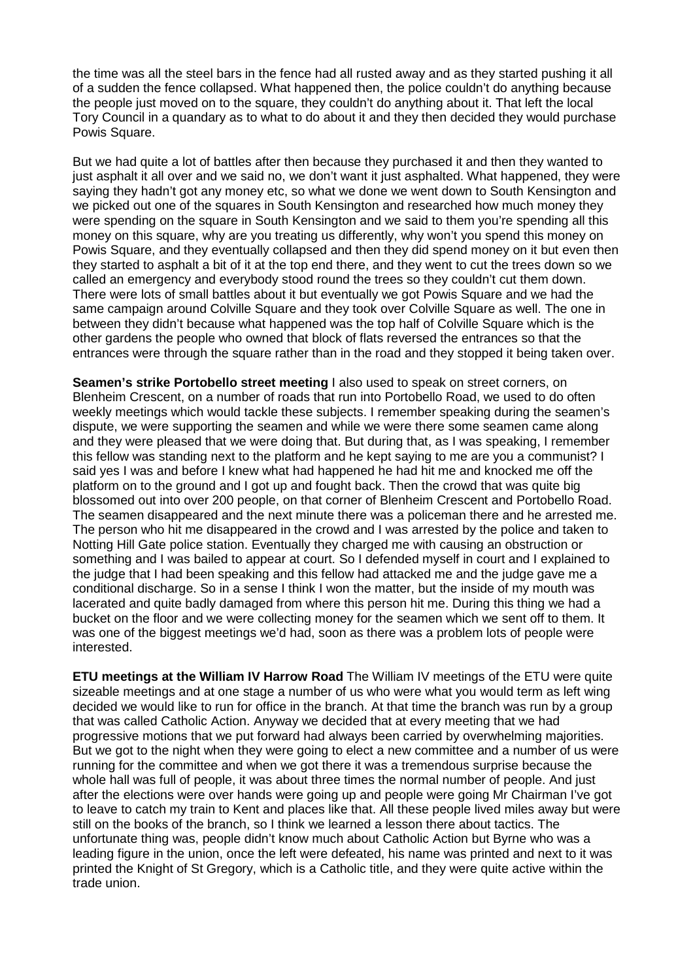the time was all the steel bars in the fence had all rusted away and as they started pushing it all of a sudden the fence collapsed. What happened then, the police couldn't do anything because the people just moved on to the square, they couldn't do anything about it. That left the local Tory Council in a quandary as to what to do about it and they then decided they would purchase Powis Square.

But we had quite a lot of battles after then because they purchased it and then they wanted to just asphalt it all over and we said no, we don't want it just asphalted. What happened, they were saying they hadn't got any money etc, so what we done we went down to South Kensington and we picked out one of the squares in South Kensington and researched how much money they were spending on the square in South Kensington and we said to them you're spending all this money on this square, why are you treating us differently, why won't you spend this money on Powis Square, and they eventually collapsed and then they did spend money on it but even then they started to asphalt a bit of it at the top end there, and they went to cut the trees down so we called an emergency and everybody stood round the trees so they couldn't cut them down. There were lots of small battles about it but eventually we got Powis Square and we had the same campaign around Colville Square and they took over Colville Square as well. The one in between they didn't because what happened was the top half of Colville Square which is the other gardens the people who owned that block of flats reversed the entrances so that the entrances were through the square rather than in the road and they stopped it being taken over.

**Seamen's strike Portobello street meeting** I also used to speak on street corners, on Blenheim Crescent, on a number of roads that run into Portobello Road, we used to do often weekly meetings which would tackle these subjects. I remember speaking during the seamen's dispute, we were supporting the seamen and while we were there some seamen came along and they were pleased that we were doing that. But during that, as I was speaking, I remember this fellow was standing next to the platform and he kept saying to me are you a communist? I said yes I was and before I knew what had happened he had hit me and knocked me off the platform on to the ground and I got up and fought back. Then the crowd that was quite big blossomed out into over 200 people, on that corner of Blenheim Crescent and Portobello Road. The seamen disappeared and the next minute there was a policeman there and he arrested me. The person who hit me disappeared in the crowd and I was arrested by the police and taken to Notting Hill Gate police station. Eventually they charged me with causing an obstruction or something and I was bailed to appear at court. So I defended myself in court and I explained to the judge that I had been speaking and this fellow had attacked me and the judge gave me a conditional discharge. So in a sense I think I won the matter, but the inside of my mouth was lacerated and quite badly damaged from where this person hit me. During this thing we had a bucket on the floor and we were collecting money for the seamen which we sent off to them. It was one of the biggest meetings we'd had, soon as there was a problem lots of people were interested.

**ETU meetings at the William IV Harrow Road** The William IV meetings of the ETU were quite sizeable meetings and at one stage a number of us who were what you would term as left wing decided we would like to run for office in the branch. At that time the branch was run by a group that was called Catholic Action. Anyway we decided that at every meeting that we had progressive motions that we put forward had always been carried by overwhelming majorities. But we got to the night when they were going to elect a new committee and a number of us were running for the committee and when we got there it was a tremendous surprise because the whole hall was full of people, it was about three times the normal number of people. And just after the elections were over hands were going up and people were going Mr Chairman I've got to leave to catch my train to Kent and places like that. All these people lived miles away but were still on the books of the branch, so I think we learned a lesson there about tactics. The unfortunate thing was, people didn't know much about Catholic Action but Byrne who was a leading figure in the union, once the left were defeated, his name was printed and next to it was printed the Knight of St Gregory, which is a Catholic title, and they were quite active within the trade union.